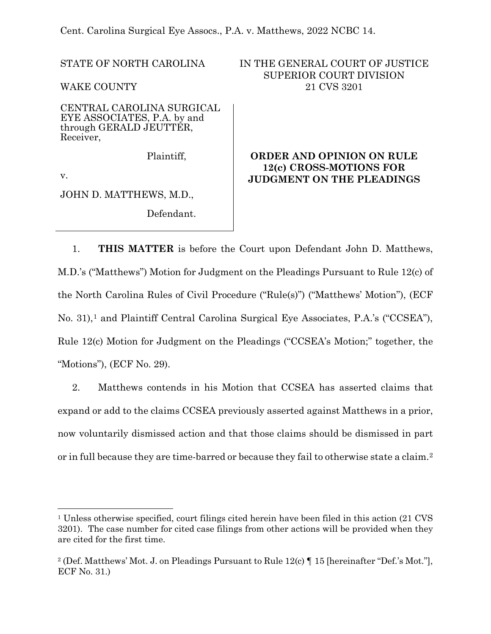Cent. Carolina Surgical Eye Assocs., P.A. v. Matthews, 2022 NCBC 14.

STATE OF NORTH CAROLINA

WAKE COUNTY

CENTRAL CAROLINA SURGICAL EYE ASSOCIATES, P.A. by and through GERALD JEUTTER, Receiver,

Plaintiff,

v.

JOHN D. MATTHEWS, M.D.,

Defendant.

# IN THE GENERAL COURT OF JUSTICE SUPERIOR COURT DIVISION 21 CVS 3201

# **ORDER AND OPINION ON RULE 12(c) CROSS-MOTIONS FOR JUDGMENT ON THE PLEADINGS**

1. **THIS MATTER** is before the Court upon Defendant John D. Matthews, M.D.'s ("Matthews") Motion for Judgment on the Pleadings Pursuant to Rule 12(c) of the North Carolina Rules of Civil Procedure ("Rule(s)") ("Matthews' Motion"), (ECF No. 3[1](#page-0-0)),<sup>1</sup> and Plaintiff Central Carolina Surgical Eye Associates, P.A.'s ("CCSEA"), Rule 12(c) Motion for Judgment on the Pleadings ("CCSEA's Motion;" together, the "Motions"), (ECF No. 29).

2. Matthews contends in his Motion that CCSEA has asserted claims that expand or add to the claims CCSEA previously asserted against Matthews in a prior, now voluntarily dismissed action and that those claims should be dismissed in part or in full because they are time-barred or because they fail to otherwise state a claim.[2](#page-0-1)

<span id="page-0-0"></span><sup>1</sup> Unless otherwise specified, court filings cited herein have been filed in this action (21 CVS 3201). The case number for cited case filings from other actions will be provided when they are cited for the first time.

<span id="page-0-1"></span><sup>&</sup>lt;sup>2</sup> (Def. Matthews' Mot. J. on Pleadings Pursuant to Rule 12(c)  $\P$  15 [hereinafter "Def.'s Mot."], ECF No. 31.)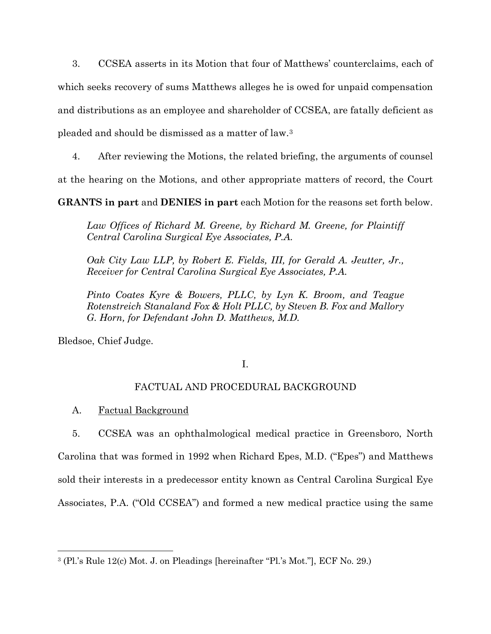3. CCSEA asserts in its Motion that four of Matthews' counterclaims, each of which seeks recovery of sums Matthews alleges he is owed for unpaid compensation and distributions as an employee and shareholder of CCSEA, are fatally deficient as pleaded and should be dismissed as a matter of law.[3](#page-1-0)

4. After reviewing the Motions, the related briefing, the arguments of counsel at the hearing on the Motions, and other appropriate matters of record, the Court

**GRANTS in part** and **DENIES in part** each Motion for the reasons set forth below.

*Law Offices of Richard M. Greene, by Richard M. Greene, for Plaintiff Central Carolina Surgical Eye Associates, P.A.* 

*Oak City Law LLP, by Robert E. Fields, III, for Gerald A. Jeutter, Jr., Receiver for Central Carolina Surgical Eye Associates, P.A.*

*Pinto Coates Kyre & Bowers, PLLC, by Lyn K. Broom, and Teague Rotenstreich Stanaland Fox & Holt PLLC, by Steven B. Fox and Mallory G. Horn, for Defendant John D. Matthews, M.D.*

Bledsoe, Chief Judge.

# I.

# FACTUAL AND PROCEDURAL BACKGROUND

A. Factual Background

5. CCSEA was an ophthalmological medical practice in Greensboro, North Carolina that was formed in 1992 when Richard Epes, M.D. ("Epes") and Matthews sold their interests in a predecessor entity known as Central Carolina Surgical Eye Associates, P.A. ("Old CCSEA") and formed a new medical practice using the same

<span id="page-1-0"></span><sup>3</sup> (Pl.'s Rule 12(c) Mot. J. on Pleadings [hereinafter "Pl.'s Mot."], ECF No. 29.)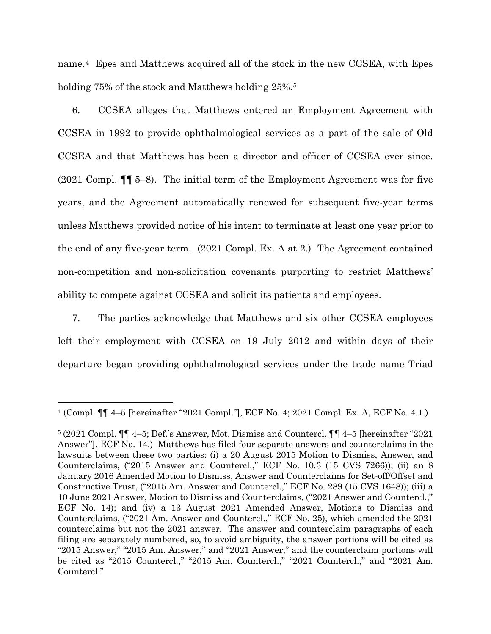name.[4](#page-2-0) Epes and Matthews acquired all of the stock in the new CCSEA, with Epes holding 7[5](#page-2-1)% of the stock and Matthews holding 25%.<sup>5</sup>

6. CCSEA alleges that Matthews entered an Employment Agreement with CCSEA in 1992 to provide ophthalmological services as a part of the sale of Old CCSEA and that Matthews has been a director and officer of CCSEA ever since. (2021 Compl. ¶¶ 5–8). The initial term of the Employment Agreement was for five years, and the Agreement automatically renewed for subsequent five-year terms unless Matthews provided notice of his intent to terminate at least one year prior to the end of any five-year term. (2021 Compl. Ex. A at 2.) The Agreement contained non-competition and non-solicitation covenants purporting to restrict Matthews' ability to compete against CCSEA and solicit its patients and employees.

7. The parties acknowledge that Matthews and six other CCSEA employees left their employment with CCSEA on 19 July 2012 and within days of their departure began providing ophthalmological services under the trade name Triad

<span id="page-2-0"></span><sup>4</sup> (Compl. ¶¶ 4–5 [hereinafter "2021 Compl."], ECF No. 4; 2021 Compl. Ex. A, ECF No. 4.1.)

<span id="page-2-1"></span><sup>5</sup> (2021 Compl. ¶¶ 4–5; Def.'s Answer, Mot. Dismiss and Countercl. ¶¶ 4–5 [hereinafter "2021 Answer"], ECF No. 14.) Matthews has filed four separate answers and counterclaims in the lawsuits between these two parties: (i) a 20 August 2015 Motion to Dismiss, Answer, and Counterclaims, ("2015 Answer and Countercl.," ECF No. 10.3 (15 CVS 7266)); (ii) an 8 January 2016 Amended Motion to Dismiss, Answer and Counterclaims for Set-off/Offset and Constructive Trust, ("2015 Am. Answer and Countercl.," ECF No. 289 (15 CVS 1648)); (iii) a 10 June 2021 Answer, Motion to Dismiss and Counterclaims, ("2021 Answer and Countercl.," ECF No. 14); and (iv) a 13 August 2021 Amended Answer, Motions to Dismiss and Counterclaims, ("2021 Am. Answer and Countercl.," ECF No. 25), which amended the 2021 counterclaims but not the 2021 answer. The answer and counterclaim paragraphs of each filing are separately numbered, so, to avoid ambiguity, the answer portions will be cited as "2015 Answer," "2015 Am. Answer," and "2021 Answer," and the counterclaim portions will be cited as "2015 Countercl.," "2015 Am. Countercl.," "2021 Countercl.," and "2021 Am. Countercl."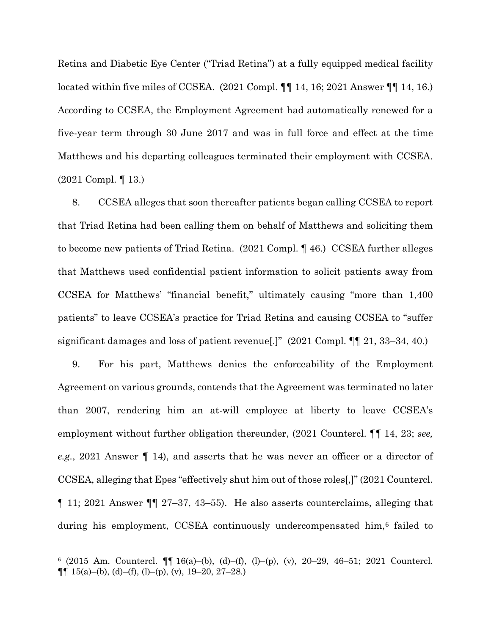Retina and Diabetic Eye Center ("Triad Retina") at a fully equipped medical facility located within five miles of CCSEA. (2021 Compl. ¶¶ 14, 16; 2021 Answer ¶¶ 14, 16.) According to CCSEA, the Employment Agreement had automatically renewed for a five-year term through 30 June 2017 and was in full force and effect at the time Matthews and his departing colleagues terminated their employment with CCSEA. (2021 Compl. ¶ 13.)

8. CCSEA alleges that soon thereafter patients began calling CCSEA to report that Triad Retina had been calling them on behalf of Matthews and soliciting them to become new patients of Triad Retina. (2021 Compl. ¶ 46.) CCSEA further alleges that Matthews used confidential patient information to solicit patients away from CCSEA for Matthews' "financial benefit," ultimately causing "more than 1,400 patients" to leave CCSEA's practice for Triad Retina and causing CCSEA to "suffer significant damages and loss of patient revenue[.]" (2021 Compl. ¶¶ 21, 33–34, 40.)

9. For his part, Matthews denies the enforceability of the Employment Agreement on various grounds, contends that the Agreement was terminated no later than 2007, rendering him an at-will employee at liberty to leave CCSEA's employment without further obligation thereunder, (2021 Countercl. ¶¶ 14, 23; *see, e.g.*, 2021 Answer ¶ 14), and asserts that he was never an officer or a director of CCSEA, alleging that Epes "effectively shut him out of those roles[,]" (2021 Countercl. ¶ 11; 2021 Answer ¶¶ 27–37, 43–55). He also asserts counterclaims, alleging that during his employment, CCSEA continuously undercompensated him,[6](#page-3-0) failed to

<span id="page-3-0"></span> $6$  (2015 Am. Countercl.  $\P\P$  16(a)–(b), (d)–(f), (l)–(p), (v), 20–29, 46–51; 2021 Countercl.  $\P\P$  15(a)–(b), (d)–(f), (l)–(p), (v), 19–20, 27–28.)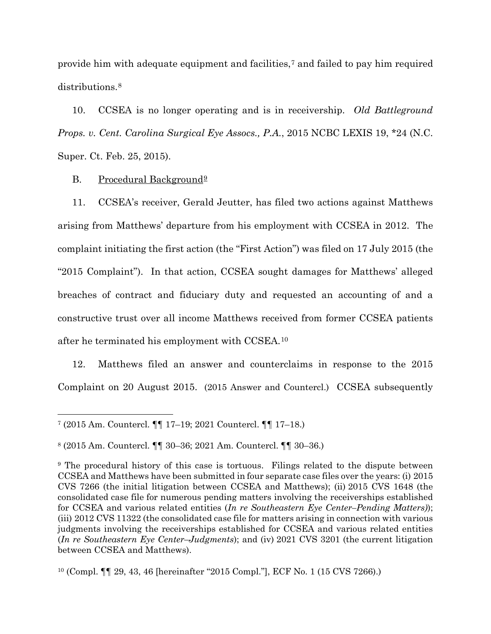provide him with adequate equipment and facilities,[7](#page-4-0) and failed to pay him required distributions.[8](#page-4-1)

10. CCSEA is no longer operating and is in receivership. *Old Battleground Props. v. Cent. Carolina Surgical Eye Assocs., P.A.*, 2015 NCBC LEXIS 19, \*24 (N.C. Super. Ct. Feb. 25, 2015).

B. Procedural Background<sup>9</sup>

11. CCSEA's receiver, Gerald Jeutter, has filed two actions against Matthews arising from Matthews' departure from his employment with CCSEA in 2012. The complaint initiating the first action (the "First Action") was filed on 17 July 2015 (the "2015 Complaint"). In that action, CCSEA sought damages for Matthews' alleged breaches of contract and fiduciary duty and requested an accounting of and a constructive trust over all income Matthews received from former CCSEA patients after he terminated his employment with CCSEA.[10](#page-4-3)

12. Matthews filed an answer and counterclaims in response to the 2015 Complaint on 20 August 2015. (2015 Answer and Countercl.) CCSEA subsequently

<span id="page-4-0"></span><sup>7</sup> (2015 Am. Countercl. ¶¶ 17–19; 2021 Countercl. ¶¶ 17–18.)

<span id="page-4-1"></span><sup>8</sup> (2015 Am. Countercl. ¶¶ 30–36; 2021 Am. Countercl. ¶¶ 30–36.)

<span id="page-4-2"></span><sup>9</sup> The procedural history of this case is tortuous. Filings related to the dispute between CCSEA and Matthews have been submitted in four separate case files over the years: (i) 2015 CVS 7266 (the initial litigation between CCSEA and Matthews); (ii) 2015 CVS 1648 (the consolidated case file for numerous pending matters involving the receiverships established for CCSEA and various related entities (*In re Southeastern Eye Center–Pending Matters)*); (iii) 2012 CVS 11322 (the consolidated case file for matters arising in connection with various judgments involving the receiverships established for CCSEA and various related entities (*In re Southeastern Eye Center–Judgments*); and (iv) 2021 CVS 3201 (the current litigation between CCSEA and Matthews).

<span id="page-4-3"></span><sup>10</sup> (Compl. ¶¶ 29, 43, 46 [hereinafter "2015 Compl."], ECF No. 1 (15 CVS 7266).)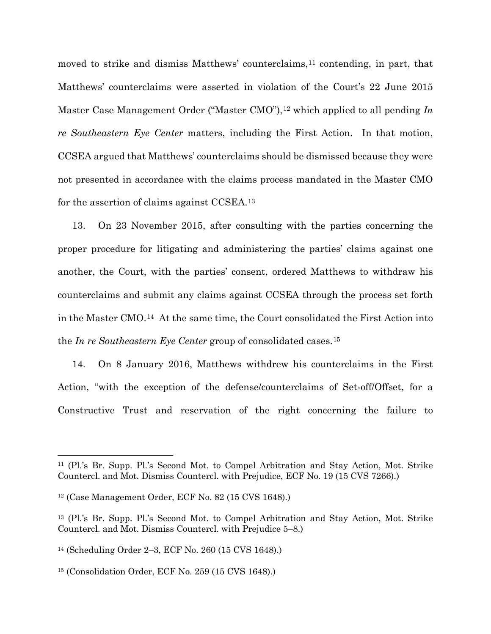moved to strike and dismiss Matthews' counterclaims,<sup>[11](#page-5-0)</sup> contending, in part, that Matthews' counterclaims were asserted in violation of the Court's 22 June 2015 Master Case Management Order ("Master CMO"),<sup>[12](#page-5-1)</sup> which applied to all pending *In re Southeastern Eye Center* matters, including the First Action. In that motion, CCSEA argued that Matthews' counterclaims should be dismissed because they were not presented in accordance with the claims process mandated in the Master CMO for the assertion of claims against CCSEA.[13](#page-5-2)

13. On 23 November 2015, after consulting with the parties concerning the proper procedure for litigating and administering the parties' claims against one another, the Court, with the parties' consent, ordered Matthews to withdraw his counterclaims and submit any claims against CCSEA through the process set forth in the Master CMO.[14](#page-5-3) At the same time, the Court consolidated the First Action into the *In re Southeastern Eye Center* group of consolidated cases.[15](#page-5-4)

14. On 8 January 2016, Matthews withdrew his counterclaims in the First Action, "with the exception of the defense/counterclaims of Set-off/Offset, for a Constructive Trust and reservation of the right concerning the failure to

<span id="page-5-0"></span><sup>11</sup> (Pl.'s Br. Supp. Pl.'s Second Mot. to Compel Arbitration and Stay Action, Mot. Strike Countercl. and Mot. Dismiss Countercl. with Prejudice, ECF No. 19 (15 CVS 7266).)

<span id="page-5-1"></span><sup>12</sup> (Case Management Order, ECF No. 82 (15 CVS 1648).)

<span id="page-5-2"></span><sup>13</sup> (Pl.'s Br. Supp. Pl.'s Second Mot. to Compel Arbitration and Stay Action, Mot. Strike Countercl. and Mot. Dismiss Countercl. with Prejudice 5–8.)

<span id="page-5-3"></span><sup>14</sup> (Scheduling Order 2–3, ECF No. 260 (15 CVS 1648).)

<span id="page-5-4"></span><sup>15</sup> (Consolidation Order, ECF No. 259 (15 CVS 1648).)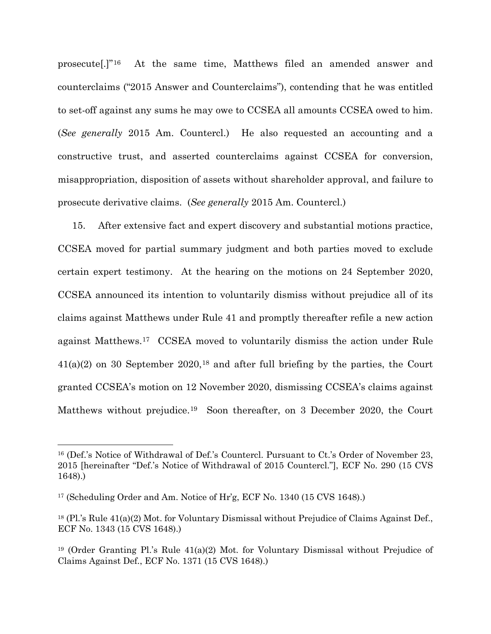prosecute[.]"[16](#page-6-0) At the same time, Matthews filed an amended answer and counterclaims ("2015 Answer and Counterclaims"), contending that he was entitled to set-off against any sums he may owe to CCSEA all amounts CCSEA owed to him. (*See generally* 2015 Am. Countercl.) He also requested an accounting and a constructive trust, and asserted counterclaims against CCSEA for conversion, misappropriation, disposition of assets without shareholder approval, and failure to prosecute derivative claims. (*See generally* 2015 Am. Countercl.)

15. After extensive fact and expert discovery and substantial motions practice, CCSEA moved for partial summary judgment and both parties moved to exclude certain expert testimony. At the hearing on the motions on 24 September 2020, CCSEA announced its intention to voluntarily dismiss without prejudice all of its claims against Matthews under Rule 41 and promptly thereafter refile a new action against Matthews.[17](#page-6-1) CCSEA moved to voluntarily dismiss the action under Rule 41(a)(2) on 30 September 2020,[18](#page-6-2) and after full briefing by the parties, the Court granted CCSEA's motion on 12 November 2020, dismissing CCSEA's claims against Matthews without prejudice.<sup>[19](#page-6-3)</sup> Soon thereafter, on 3 December 2020, the Court

<span id="page-6-0"></span><sup>16</sup> (Def.'s Notice of Withdrawal of Def.'s Countercl. Pursuant to Ct.'s Order of November 23, 2015 [hereinafter "Def.'s Notice of Withdrawal of 2015 Countercl."], ECF No. 290 (15 CVS 1648).)

<span id="page-6-1"></span><sup>17</sup> (Scheduling Order and Am. Notice of Hr'g, ECF No. 1340 (15 CVS 1648).)

<span id="page-6-2"></span> $18$  (Pl.'s Rule 41(a)(2) Mot. for Voluntary Dismissal without Prejudice of Claims Against Def., ECF No. 1343 (15 CVS 1648).)

<span id="page-6-3"></span><sup>19</sup> (Order Granting Pl.'s Rule 41(a)(2) Mot. for Voluntary Dismissal without Prejudice of Claims Against Def., ECF No. 1371 (15 CVS 1648).)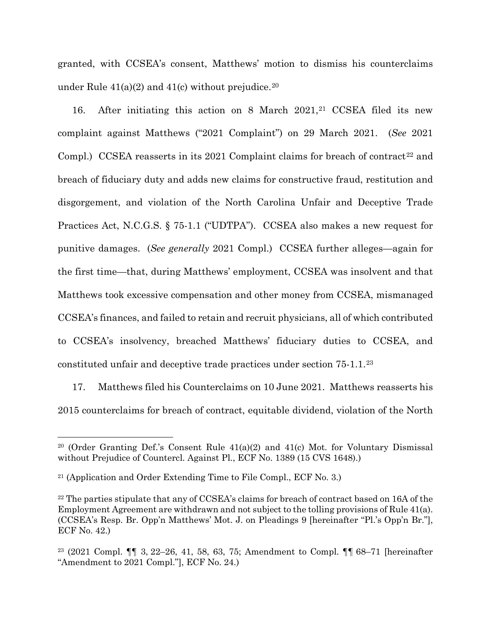granted, with CCSEA's consent, Matthews' motion to dismiss his counterclaims under Rule  $41(a)(2)$  and  $41(c)$  without prejudice.<sup>[20](#page-7-0)</sup>

16. After initiating this action on 8 March 20[21](#page-7-1),<sup>21</sup> CCSEA filed its new complaint against Matthews ("2021 Complaint") on 29 March 2021. (*See* 2021 Compl.) CCSEA reasserts in its 2021 Complaint claims for breach of contract<sup>[22](#page-7-2)</sup> and breach of fiduciary duty and adds new claims for constructive fraud, restitution and disgorgement, and violation of the North Carolina Unfair and Deceptive Trade Practices Act, N.C.G.S. § 75-1.1 ("UDTPA"). CCSEA also makes a new request for punitive damages. (*See generally* 2021 Compl.) CCSEA further alleges—again for the first time—that, during Matthews' employment, CCSEA was insolvent and that Matthews took excessive compensation and other money from CCSEA, mismanaged CCSEA's finances, and failed to retain and recruit physicians, all of which contributed to CCSEA's insolvency, breached Matthews' fiduciary duties to CCSEA, and constituted unfair and deceptive trade practices under section 75-1.1.[23](#page-7-3) 

17. Matthews filed his Counterclaims on 10 June 2021. Matthews reasserts his 2015 counterclaims for breach of contract, equitable dividend, violation of the North

<span id="page-7-0"></span><sup>&</sup>lt;sup>20</sup> (Order Granting Def.'s Consent Rule  $41(a)(2)$  and  $41(c)$  Mot. for Voluntary Dismissal without Prejudice of Countercl. Against Pl., ECF No. 1389 (15 CVS 1648).)

<span id="page-7-1"></span><sup>21</sup> (Application and Order Extending Time to File Compl., ECF No. 3.)

<span id="page-7-2"></span><sup>&</sup>lt;sup>22</sup> The parties stipulate that any of CCSEA's claims for breach of contract based on 16A of the Employment Agreement are withdrawn and not subject to the tolling provisions of Rule 41(a). (CCSEA's Resp. Br. Opp'n Matthews' Mot. J. on Pleadings 9 [hereinafter "Pl.'s Opp'n Br."], ECF No. 42.)

<span id="page-7-3"></span><sup>23</sup> (2021 Compl. ¶¶ 3, 22–26, 41, 58, 63, 75; Amendment to Compl. ¶¶ 68–71 [hereinafter "Amendment to 2021 Compl."], ECF No. 24.)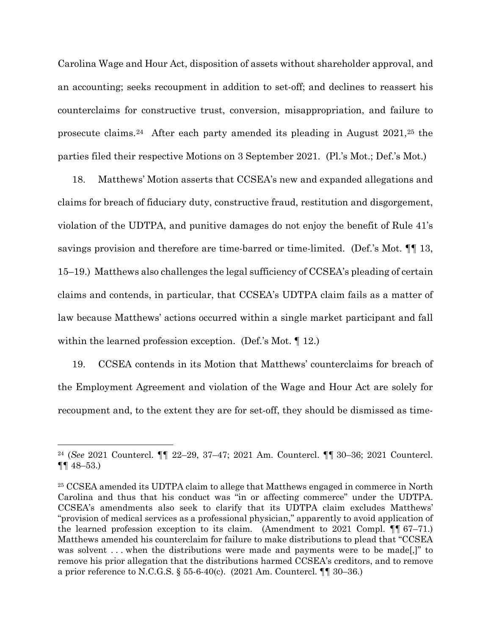Carolina Wage and Hour Act, disposition of assets without shareholder approval, and an accounting; seeks recoupment in addition to set-off; and declines to reassert his counterclaims for constructive trust, conversion, misappropriation, and failure to prosecute claims.[24](#page-8-0) After each party amended its pleading in August 2021,[25](#page-8-1) the parties filed their respective Motions on 3 September 2021. (Pl.'s Mot.; Def.'s Mot.)

18. Matthews' Motion asserts that CCSEA's new and expanded allegations and claims for breach of fiduciary duty, constructive fraud, restitution and disgorgement, violation of the UDTPA, and punitive damages do not enjoy the benefit of Rule 41's savings provision and therefore are time-barred or time-limited. (Def.'s Mot. ¶¶ 13, 15–19.) Matthews also challenges the legal sufficiency of CCSEA's pleading of certain claims and contends, in particular, that CCSEA's UDTPA claim fails as a matter of law because Matthews' actions occurred within a single market participant and fall within the learned profession exception. (Def.'s Mot. ¶ 12.)

19. CCSEA contends in its Motion that Matthews' counterclaims for breach of the Employment Agreement and violation of the Wage and Hour Act are solely for recoupment and, to the extent they are for set-off, they should be dismissed as time-

<span id="page-8-0"></span><sup>24</sup> (*See* 2021 Countercl. ¶¶ 22–29, 37–47; 2021 Am. Countercl. ¶¶ 30–36; 2021 Countercl. ¶¶ 48–53.)

<span id="page-8-1"></span><sup>25</sup> CCSEA amended its UDTPA claim to allege that Matthews engaged in commerce in North Carolina and thus that his conduct was "in or affecting commerce" under the UDTPA. CCSEA's amendments also seek to clarify that its UDTPA claim excludes Matthews' "provision of medical services as a professional physician," apparently to avoid application of the learned profession exception to its claim. (Amendment to 2021 Compl. ¶¶ 67–71.) Matthews amended his counterclaim for failure to make distributions to plead that "CCSEA was solvent ... when the distributions were made and payments were to be made...]" to remove his prior allegation that the distributions harmed CCSEA's creditors, and to remove a prior reference to N.C.G.S. § 55-6-40(c). (2021 Am. Countercl. ¶¶ 30–36.)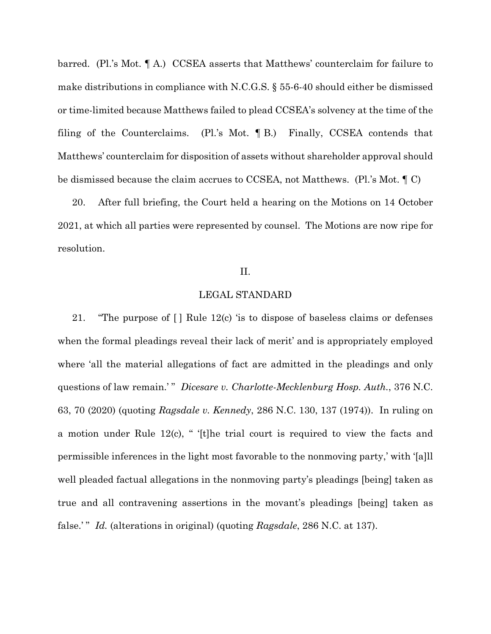barred. (Pl.'s Mot. ¶ A.) CCSEA asserts that Matthews' counterclaim for failure to make distributions in compliance with N.C.G.S. § 55-6-40 should either be dismissed or time-limited because Matthews failed to plead CCSEA's solvency at the time of the filing of the Counterclaims. (Pl.'s Mot. ¶ B.) Finally, CCSEA contends that Matthews' counterclaim for disposition of assets without shareholder approval should be dismissed because the claim accrues to CCSEA, not Matthews. (Pl.'s Mot. ¶ C)

20. After full briefing, the Court held a hearing on the Motions on 14 October 2021, at which all parties were represented by counsel. The Motions are now ripe for resolution.

#### II.

### LEGAL STANDARD

21. "The purpose of [ ] Rule 12(c) 'is to dispose of baseless claims or defenses when the formal pleadings reveal their lack of merit' and is appropriately employed where 'all the material allegations of fact are admitted in the pleadings and only questions of law remain.' " *Dicesare v. Charlotte-Mecklenburg Hosp. Auth.*, 376 N.C. 63, 70 (2020) (quoting *Ragsdale v. Kennedy*, 286 N.C. 130, 137 (1974)). In ruling on a motion under Rule 12(c), " '[t]he trial court is required to view the facts and permissible inferences in the light most favorable to the nonmoving party,' with '[a]ll well pleaded factual allegations in the nonmoving party's pleadings [being] taken as true and all contravening assertions in the movant's pleadings [being] taken as false.' " *Id.* (alterations in original) (quoting *Ragsdale*, 286 N.C. at 137).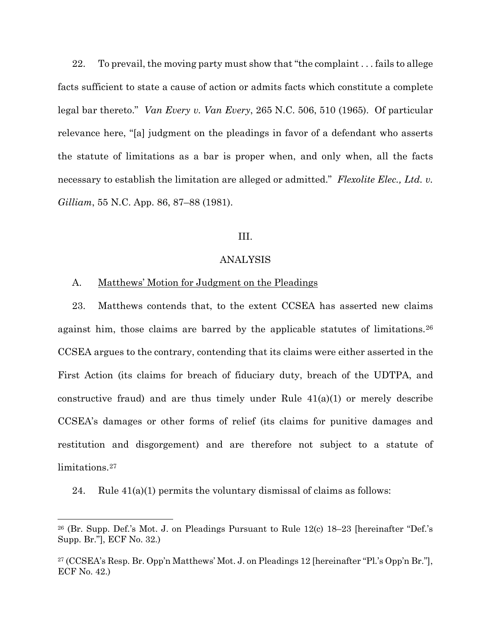22. To prevail, the moving party must show that "the complaint . . . fails to allege facts sufficient to state a cause of action or admits facts which constitute a complete legal bar thereto." *Van Every v. Van Every*, 265 N.C. 506, 510 (1965). Of particular relevance here, "[a] judgment on the pleadings in favor of a defendant who asserts the statute of limitations as a bar is proper when, and only when, all the facts necessary to establish the limitation are alleged or admitted." *Flexolite Elec., Ltd. v. Gilliam*, 55 N.C. App. 86, 87–88 (1981).

### III.

### ANALYSIS

### A. Matthews' Motion for Judgment on the Pleadings

23. Matthews contends that, to the extent CCSEA has asserted new claims against him, those claims are barred by the applicable statutes of limitations.[26](#page-10-0) CCSEA argues to the contrary, contending that its claims were either asserted in the First Action (its claims for breach of fiduciary duty, breach of the UDTPA, and constructive fraud) and are thus timely under Rule  $41(a)(1)$  or merely describe CCSEA's damages or other forms of relief (its claims for punitive damages and restitution and disgorgement) and are therefore not subject to a statute of limitations.<sup>[27](#page-10-1)</sup>

24. Rule  $41(a)(1)$  permits the voluntary dismissal of claims as follows:

<span id="page-10-0"></span> $26$  (Br. Supp. Def.'s Mot. J. on Pleadings Pursuant to Rule 12(c) 18–23 [hereinafter "Def.'s Supp. Br."], ECF No. 32.)

<span id="page-10-1"></span><sup>27</sup> (CCSEA's Resp. Br. Opp'n Matthews' Mot. J. on Pleadings 12 [hereinafter "Pl.'s Opp'n Br."], ECF No. 42.)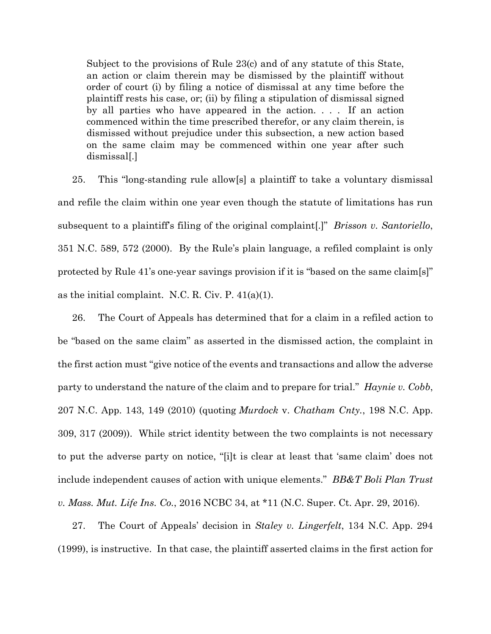Subject to the provisions of Rule 23(c) and of any statute of this State, an action or claim therein may be dismissed by the plaintiff without order of court (i) by filing a notice of dismissal at any time before the plaintiff rests his case, or; (ii) by filing a stipulation of dismissal signed by all parties who have appeared in the action. . . . If an action commenced within the time prescribed therefor, or any claim therein, is dismissed without prejudice under this subsection, a new action based on the same claim may be commenced within one year after such dismissal[.]

25. This "long-standing rule allow[s] a plaintiff to take a voluntary dismissal and refile the claim within one year even though the statute of limitations has run subsequent to a plaintiff's filing of the original complaint[.]" *Brisson v. Santoriello*, 351 N.C. 589, 572 (2000). By the Rule's plain language, a refiled complaint is only protected by Rule 41's one-year savings provision if it is "based on the same claim[s]" as the initial complaint. N.C. R. Civ. P. 41(a)(1).

26. The Court of Appeals has determined that for a claim in a refiled action to be "based on the same claim" as asserted in the dismissed action, the complaint in the first action must "give notice of the events and transactions and allow the adverse party to understand the nature of the claim and to prepare for trial." *Haynie v. Cobb*, 207 N.C. App. 143, 149 (2010) (quoting *Murdock* v. *Chatham Cnty.*, 198 N.C. App. 309, 317 (2009)). While strict identity between the two complaints is not necessary to put the adverse party on notice, "[i]t is clear at least that 'same claim' does not include independent causes of action with unique elements." *BB&T Boli Plan Trust v. Mass. Mut. Life Ins. Co.*, 2016 NCBC 34, at \*11 (N.C. Super. Ct. Apr. 29, 2016).

27. The Court of Appeals' decision in *Staley v. Lingerfelt*, 134 N.C. App. 294 (1999), is instructive. In that case, the plaintiff asserted claims in the first action for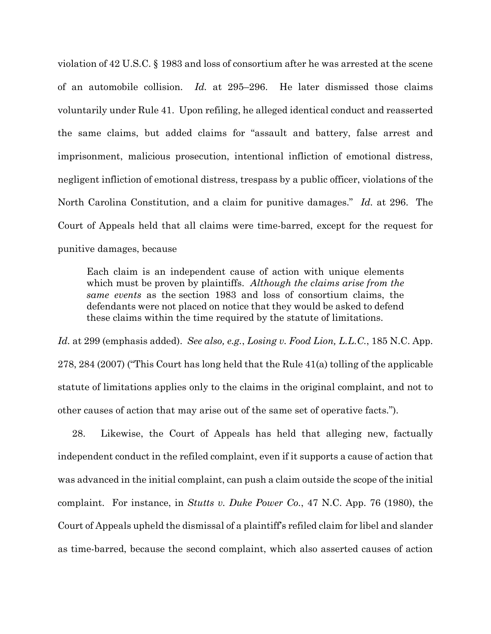violation of 42 U.S.C. § 1983 and loss of consortium after he was arrested at the scene of an automobile collision. *Id.* at 295–296. He later dismissed those claims voluntarily under Rule 41. Upon refiling, he alleged identical conduct and reasserted the same claims, but added claims for "assault and battery, false arrest and imprisonment, malicious prosecution, intentional infliction of emotional distress, negligent infliction of emotional distress, trespass by a public officer, violations of the North Carolina Constitution, and a claim for punitive damages." *Id.* at 296. The Court of Appeals held that all claims were time-barred, except for the request for punitive damages, because

Each claim is an independent cause of action with unique elements which must be proven by plaintiffs. *Although the claims arise from the same events* as the section 1983 and loss of consortium claims, the defendants were not placed on notice that they would be asked to defend these claims within the time required by the statute of limitations.

*Id.* at 299 (emphasis added). *See also, e.g.*, *Losing v. Food Lion, L.L.C.*, 185 N.C. App. 278, 284 (2007) ("This Court has long held that the Rule 41(a) tolling of the applicable statute of limitations applies only to the claims in the original complaint, and not to other causes of action that may arise out of the same set of operative facts.").

28. Likewise, the Court of Appeals has held that alleging new, factually independent conduct in the refiled complaint, even if it supports a cause of action that was advanced in the initial complaint, can push a claim outside the scope of the initial complaint. For instance, in *Stutts v. Duke Power Co.*, 47 N.C. App. 76 (1980), the Court of Appeals upheld the dismissal of a plaintiff's refiled claim for libel and slander as time-barred, because the second complaint, which also asserted causes of action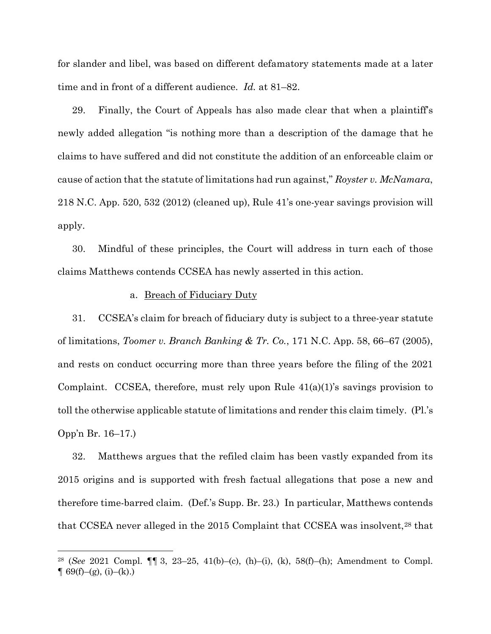for slander and libel, was based on different defamatory statements made at a later time and in front of a different audience. *Id.* at 81–82.

29. Finally, the Court of Appeals has also made clear that when a plaintiff's newly added allegation "is nothing more than a description of the damage that he claims to have suffered and did not constitute the addition of an enforceable claim or cause of action that the statute of limitations had run against," *Royster v. McNamara*, 218 N.C. App. 520, 532 (2012) (cleaned up), Rule 41's one-year savings provision will apply.

30. Mindful of these principles, the Court will address in turn each of those claims Matthews contends CCSEA has newly asserted in this action.

### a. Breach of Fiduciary Duty

31. CCSEA's claim for breach of fiduciary duty is subject to a three-year statute of limitations, *Toomer v. Branch Banking & Tr. Co.*, 171 N.C. App. 58, 66–67 (2005), and rests on conduct occurring more than three years before the filing of the 2021 Complaint. CCSEA, therefore, must rely upon Rule 41(a)(1)'s savings provision to toll the otherwise applicable statute of limitations and render this claim timely. (Pl.'s Opp'n Br. 16–17.)

32. Matthews argues that the refiled claim has been vastly expanded from its 2015 origins and is supported with fresh factual allegations that pose a new and therefore time-barred claim. (Def.'s Supp. Br. 23.) In particular, Matthews contends that CCSEA never alleged in the 2015 Complaint that CCSEA was insolvent,[28](#page-13-0) that

<span id="page-13-0"></span><sup>28 (</sup>*See* 2021 Compl. ¶¶ 3, 23–25, 41(b)–(c), (h)–(i), (k), 58(f)–(h); Amendment to Compl.  $\P$  69(f)–(g), (i)–(k).)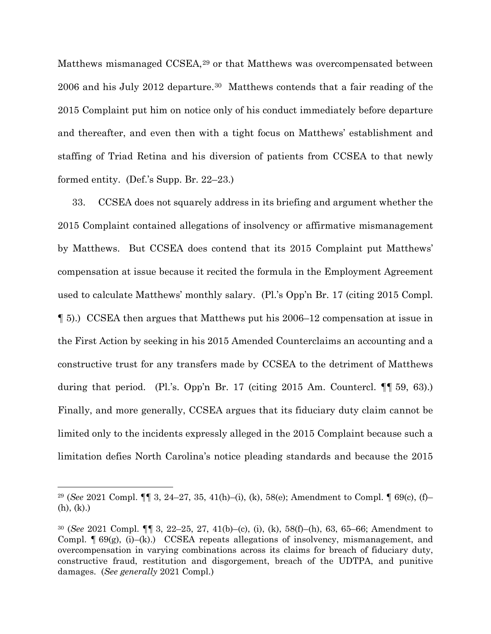Matthews mismanaged CCSEA,<sup>[29](#page-14-0)</sup> or that Matthews was overcompensated between 2006 and his July 2012 departure.[30](#page-14-1) Matthews contends that a fair reading of the 2015 Complaint put him on notice only of his conduct immediately before departure and thereafter, and even then with a tight focus on Matthews' establishment and staffing of Triad Retina and his diversion of patients from CCSEA to that newly formed entity. (Def.'s Supp. Br. 22–23.)

33. CCSEA does not squarely address in its briefing and argument whether the 2015 Complaint contained allegations of insolvency or affirmative mismanagement by Matthews. But CCSEA does contend that its 2015 Complaint put Matthews' compensation at issue because it recited the formula in the Employment Agreement used to calculate Matthews' monthly salary. (Pl.'s Opp'n Br. 17 (citing 2015 Compl. ¶ 5).) CCSEA then argues that Matthews put his 2006–12 compensation at issue in the First Action by seeking in his 2015 Amended Counterclaims an accounting and a constructive trust for any transfers made by CCSEA to the detriment of Matthews during that period. (Pl.'s. Opp'n Br. 17 (citing 2015 Am. Countercl. ¶¶ 59, 63).) Finally, and more generally, CCSEA argues that its fiduciary duty claim cannot be limited only to the incidents expressly alleged in the 2015 Complaint because such a limitation defies North Carolina's notice pleading standards and because the 2015

<span id="page-14-0"></span><sup>29</sup> (*See* 2021 Compl. ¶¶ 3, 24–27, 35, 41(h)–(i), (k), 58(e); Amendment to Compl. ¶ 69(c), (f)– (h), (k).)

<span id="page-14-1"></span><sup>30</sup> (*See* 2021 Compl. ¶¶ 3, 22–25, 27, 41(b)–(c), (i), (k), 58(f)–(h), 63, 65–66; Amendment to Compl.  $\lceil 69(g), (i)-(k) \rceil$  CCSEA repeats allegations of insolvency, mismanagement, and overcompensation in varying combinations across its claims for breach of fiduciary duty, constructive fraud, restitution and disgorgement, breach of the UDTPA, and punitive damages. (*See generally* 2021 Compl.)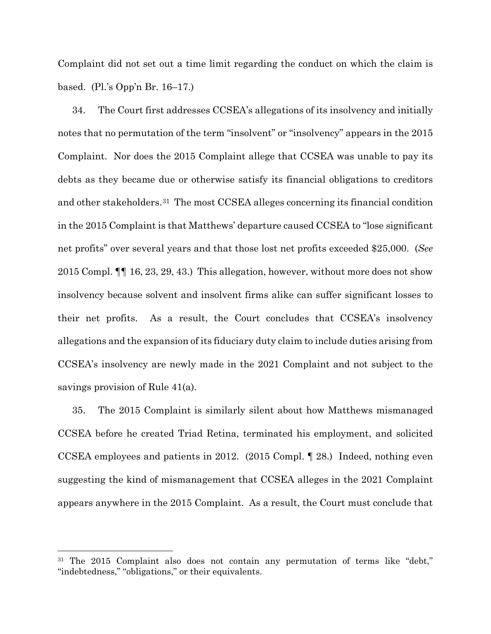Complaint did not set out a time limit regarding the conduct on which the claim is based. (Pl.'s Opp'n Br. 16–17.)

34. The Court first addresses CCSEA's allegations of its insolvency and initially notes that no permutation of the term "insolvent" or "insolvency" appears in the 2015 Complaint. Nor does the 2015 Complaint allege that CCSEA was unable to pay its debts as they became due or otherwise satisfy its financial obligations to creditors and other stakeholders.[31](#page-15-0) The most CCSEA alleges concerning its financial condition in the 2015 Complaint is that Matthews' departure caused CCSEA to "lose significant net profits" over several years and that those lost net profits exceeded \$25,000. (*See*  2015 Compl. ¶¶ 16, 23, 29, 43.) This allegation, however, without more does not show insolvency because solvent and insolvent firms alike can suffer significant losses to their net profits. As a result, the Court concludes that CCSEA's insolvency allegations and the expansion of its fiduciary duty claim to include duties arising from CCSEA's insolvency are newly made in the 2021 Complaint and not subject to the savings provision of Rule 41(a).

35. The 2015 Complaint is similarly silent about how Matthews mismanaged CCSEA before he created Triad Retina, terminated his employment, and solicited CCSEA employees and patients in 2012. (2015 Compl. ¶ 28.) Indeed, nothing even suggesting the kind of mismanagement that CCSEA alleges in the 2021 Complaint appears anywhere in the 2015 Complaint. As a result, the Court must conclude that

<span id="page-15-0"></span><sup>&</sup>lt;sup>31</sup> The 2015 Complaint also does not contain any permutation of terms like "debt," "indebtedness," "obligations," or their equivalents.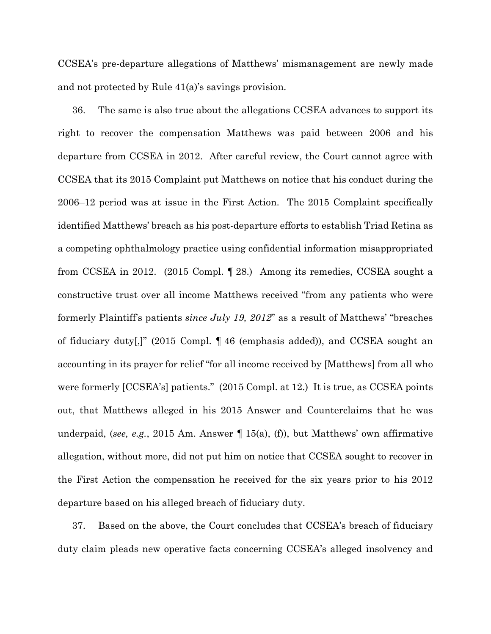CCSEA's pre-departure allegations of Matthews' mismanagement are newly made and not protected by Rule 41(a)'s savings provision.

36. The same is also true about the allegations CCSEA advances to support its right to recover the compensation Matthews was paid between 2006 and his departure from CCSEA in 2012. After careful review, the Court cannot agree with CCSEA that its 2015 Complaint put Matthews on notice that his conduct during the 2006–12 period was at issue in the First Action. The 2015 Complaint specifically identified Matthews' breach as his post-departure efforts to establish Triad Retina as a competing ophthalmology practice using confidential information misappropriated from CCSEA in 2012. (2015 Compl. ¶ 28.) Among its remedies, CCSEA sought a constructive trust over all income Matthews received "from any patients who were formerly Plaintiff's patients *since July 19, 2012*" as a result of Matthews' "breaches of fiduciary duty[,]" (2015 Compl. ¶ 46 (emphasis added)), and CCSEA sought an accounting in its prayer for relief "for all income received by [Matthews] from all who were formerly [CCSEA's] patients." (2015 Compl. at 12.) It is true, as CCSEA points out, that Matthews alleged in his 2015 Answer and Counterclaims that he was underpaid, (*see, e.g.*, 2015 Am. Answer ¶ 15(a), (f)), but Matthews' own affirmative allegation, without more, did not put him on notice that CCSEA sought to recover in the First Action the compensation he received for the six years prior to his 2012 departure based on his alleged breach of fiduciary duty.

37. Based on the above, the Court concludes that CCSEA's breach of fiduciary duty claim pleads new operative facts concerning CCSEA's alleged insolvency and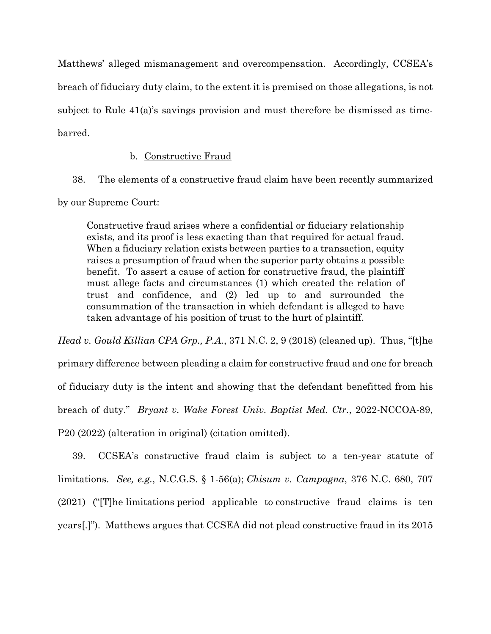Matthews' alleged mismanagement and overcompensation. Accordingly, CCSEA's breach of fiduciary duty claim, to the extent it is premised on those allegations, is not subject to Rule  $41(a)$ 's savings provision and must therefore be dismissed as timebarred.

## b. Constructive Fraud

38. The elements of a constructive fraud claim have been recently summarized by our Supreme Court:

Constructive fraud arises where a confidential or fiduciary relationship exists, and its proof is less exacting than that required for actual fraud. When a fiduciary relation exists between parties to a transaction, equity raises a presumption of fraud when the superior party obtains a possible benefit. To assert a cause of action for constructive fraud, the plaintiff must allege facts and circumstances (1) which created the relation of trust and confidence, and (2) led up to and surrounded the consummation of the transaction in which defendant is alleged to have taken advantage of his position of trust to the hurt of plaintiff.

*Head v. Gould Killian CPA Grp., P.A.*, 371 N.C. 2, 9 (2018) (cleaned up). Thus, "[t]he primary difference between pleading a claim for constructive fraud and one for breach of fiduciary duty is the intent and showing that the defendant benefitted from his breach of duty." *Bryant v. Wake Forest Univ. Baptist Med. Ctr.*, 2022-NCCOA-89, P20 (2022) (alteration in original) (citation omitted).

39. CCSEA's constructive fraud claim is subject to a ten-year statute of limitations. *See, e.g.*, N.C.G.S. § 1-56(a); *Chisum v. Campagna*, 376 N.C. 680, 707 (2021) ("[T]he limitations period applicable to constructive fraud claims is ten years[.]"). Matthews argues that CCSEA did not plead constructive fraud in its 2015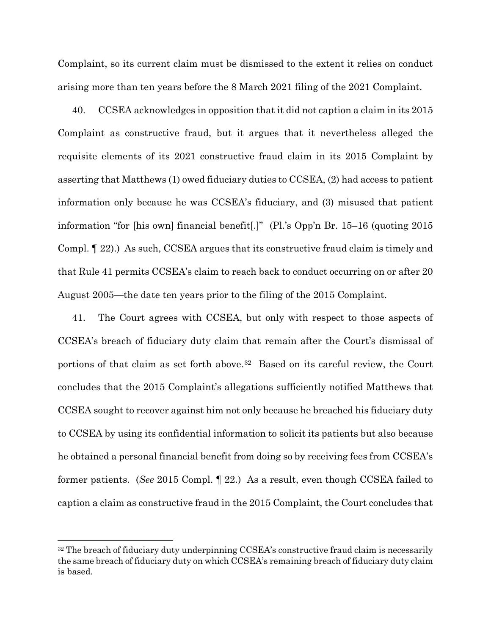Complaint, so its current claim must be dismissed to the extent it relies on conduct arising more than ten years before the 8 March 2021 filing of the 2021 Complaint.

40. CCSEA acknowledges in opposition that it did not caption a claim in its 2015 Complaint as constructive fraud, but it argues that it nevertheless alleged the requisite elements of its 2021 constructive fraud claim in its 2015 Complaint by asserting that Matthews (1) owed fiduciary duties to CCSEA, (2) had access to patient information only because he was CCSEA's fiduciary, and (3) misused that patient information "for [his own] financial benefit[.]" (Pl.'s Opp'n Br. 15–16 (quoting 2015 Compl. ¶ 22).) As such, CCSEA argues that its constructive fraud claim is timely and that Rule 41 permits CCSEA's claim to reach back to conduct occurring on or after 20 August 2005—the date ten years prior to the filing of the 2015 Complaint.

41. The Court agrees with CCSEA, but only with respect to those aspects of CCSEA's breach of fiduciary duty claim that remain after the Court's dismissal of portions of that claim as set forth above.[32](#page-18-0) Based on its careful review, the Court concludes that the 2015 Complaint's allegations sufficiently notified Matthews that CCSEA sought to recover against him not only because he breached his fiduciary duty to CCSEA by using its confidential information to solicit its patients but also because he obtained a personal financial benefit from doing so by receiving fees from CCSEA's former patients. (*See* 2015 Compl. ¶ 22.) As a result, even though CCSEA failed to caption a claim as constructive fraud in the 2015 Complaint, the Court concludes that

<span id="page-18-0"></span><sup>&</sup>lt;sup>32</sup> The breach of fiduciary duty underpinning CCSEA's constructive fraud claim is necessarily the same breach of fiduciary duty on which CCSEA's remaining breach of fiduciary duty claim is based.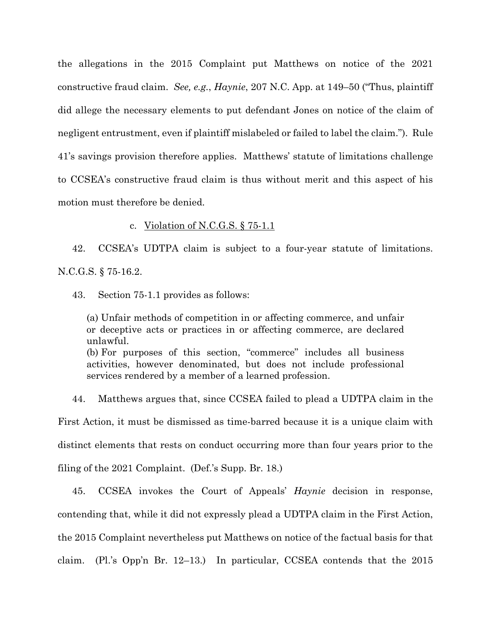the allegations in the 2015 Complaint put Matthews on notice of the 2021 constructive fraud claim. *See, e.g.*, *Haynie*, 207 N.C. App. at 149–50 ("Thus, plaintiff did allege the necessary elements to put defendant Jones on notice of the claim of negligent entrustment, even if plaintiff mislabeled or failed to label the claim."). Rule 41's savings provision therefore applies. Matthews' statute of limitations challenge to CCSEA's constructive fraud claim is thus without merit and this aspect of his motion must therefore be denied.

### c. Violation of N.C.G.S. § 75-1.1

42. CCSEA's UDTPA claim is subject to a four-year statute of limitations. N.C.G.S. § 75-16.2.

43. Section 75-1.1 provides as follows:

(a) Unfair methods of competition in or affecting commerce, and unfair or deceptive acts or practices in or affecting commerce, are declared unlawful. (b) For purposes of this section, "commerce" includes all business activities, however denominated, but does not include professional services rendered by a member of a learned profession.

44. Matthews argues that, since CCSEA failed to plead a UDTPA claim in the First Action, it must be dismissed as time-barred because it is a unique claim with distinct elements that rests on conduct occurring more than four years prior to the filing of the 2021 Complaint. (Def.'s Supp. Br. 18.)

45. CCSEA invokes the Court of Appeals' *Haynie* decision in response, contending that, while it did not expressly plead a UDTPA claim in the First Action, the 2015 Complaint nevertheless put Matthews on notice of the factual basis for that claim. (Pl.'s Opp'n Br. 12–13.) In particular, CCSEA contends that the 2015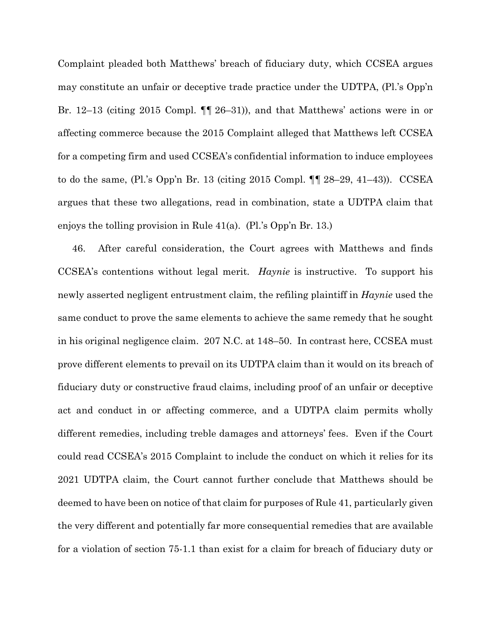Complaint pleaded both Matthews' breach of fiduciary duty, which CCSEA argues may constitute an unfair or deceptive trade practice under the UDTPA, (Pl.'s Opp'n Br. 12–13 (citing 2015 Compl. ¶¶ 26–31)), and that Matthews' actions were in or affecting commerce because the 2015 Complaint alleged that Matthews left CCSEA for a competing firm and used CCSEA's confidential information to induce employees to do the same, (Pl.'s Opp'n Br. 13 (citing 2015 Compl. ¶¶ 28–29, 41–43)). CCSEA argues that these two allegations, read in combination, state a UDTPA claim that enjoys the tolling provision in Rule 41(a). (Pl.'s Opp'n Br. 13.)

46. After careful consideration, the Court agrees with Matthews and finds CCSEA's contentions without legal merit. *Haynie* is instructive. To support his newly asserted negligent entrustment claim, the refiling plaintiff in *Haynie* used the same conduct to prove the same elements to achieve the same remedy that he sought in his original negligence claim. 207 N.C. at 148–50. In contrast here, CCSEA must prove different elements to prevail on its UDTPA claim than it would on its breach of fiduciary duty or constructive fraud claims, including proof of an unfair or deceptive act and conduct in or affecting commerce, and a UDTPA claim permits wholly different remedies, including treble damages and attorneys' fees. Even if the Court could read CCSEA's 2015 Complaint to include the conduct on which it relies for its 2021 UDTPA claim, the Court cannot further conclude that Matthews should be deemed to have been on notice of that claim for purposes of Rule 41, particularly given the very different and potentially far more consequential remedies that are available for a violation of section 75-1.1 than exist for a claim for breach of fiduciary duty or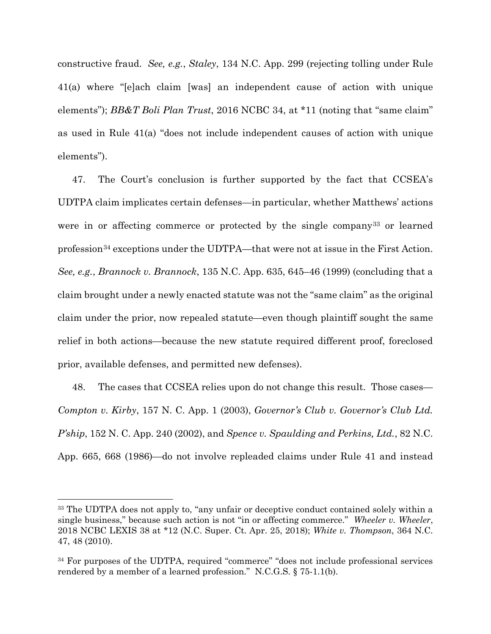constructive fraud. *See, e.g.*, *Staley*, 134 N.C. App. 299 (rejecting tolling under Rule 41(a) where "[e]ach claim [was] an independent cause of action with unique elements"); *BB&T Boli Plan Trust*, 2016 NCBC 34, at \*11 (noting that "same claim" as used in Rule 41(a) "does not include independent causes of action with unique elements").

47. The Court's conclusion is further supported by the fact that CCSEA's UDTPA claim implicates certain defenses—in particular, whether Matthews' actions were in or affecting commerce or protected by the single company[33](#page-21-0) or learned profession[34](#page-21-1) exceptions under the UDTPA—that were not at issue in the First Action. *See, e.g.*, *Brannock v. Brannock*, 135 N.C. App. 635, 645–46 (1999) (concluding that a claim brought under a newly enacted statute was not the "same claim" as the original claim under the prior, now repealed statute—even though plaintiff sought the same relief in both actions—because the new statute required different proof, foreclosed prior, available defenses, and permitted new defenses).

48. The cases that CCSEA relies upon do not change this result. Those cases— *Compton v. Kirby*, 157 N. C. App. 1 (2003), *Governor's Club v. Governor's Club Ltd. P'ship*, 152 N. C. App. 240 (2002), and *Spence v. Spaulding and Perkins, Ltd.*, 82 N.C. App. 665, 668 (1986)—do not involve repleaded claims under Rule 41 and instead

<span id="page-21-0"></span><sup>&</sup>lt;sup>33</sup> The UDTPA does not apply to, "any unfair or deceptive conduct contained solely within a single business," because such action is not "in or affecting commerce." *Wheeler v. Wheeler*, 2018 NCBC LEXIS 38 at \*12 (N.C. Super. Ct. Apr. 25, 2018); *White v. Thompson*, 364 N.C. 47, 48 (2010).

<span id="page-21-1"></span><sup>34</sup> For purposes of the UDTPA, required "commerce" "does not include professional services rendered by a member of a learned profession." N.C.G.S. § 75-1.1(b).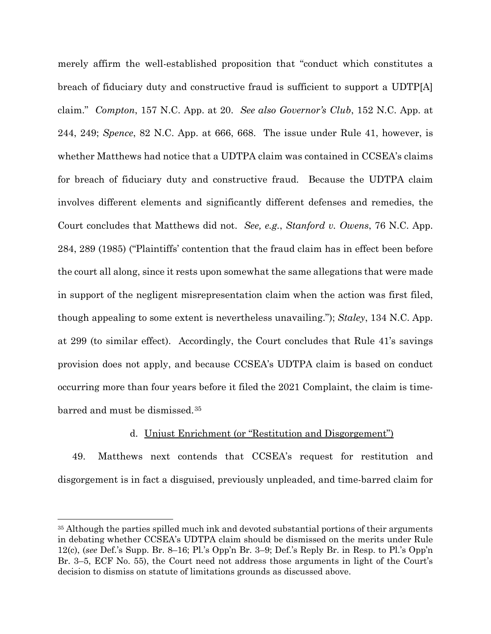merely affirm the well-established proposition that "conduct which constitutes a breach of fiduciary duty and constructive fraud is sufficient to support a UDTP[A] claim." *Compton*, 157 N.C. App. at 20. *See also Governor's Club*, 152 N.C. App. at 244, 249; *Spence*, 82 N.C. App. at 666, 668. The issue under Rule 41, however, is whether Matthews had notice that a UDTPA claim was contained in CCSEA's claims for breach of fiduciary duty and constructive fraud. Because the UDTPA claim involves different elements and significantly different defenses and remedies, the Court concludes that Matthews did not. *See, e.g.*, *Stanford v. Owens*, 76 N.C. App. 284, 289 (1985) ("Plaintiffs' contention that the fraud claim has in effect been before the court all along, since it rests upon somewhat the same allegations that were made in support of the negligent misrepresentation claim when the action was first filed, though appealing to some extent is nevertheless unavailing."); *Staley*, 134 N.C. App. at 299 (to similar effect). Accordingly, the Court concludes that Rule 41's savings provision does not apply, and because CCSEA's UDTPA claim is based on conduct occurring more than four years before it filed the 2021 Complaint, the claim is timebarred and must be dismissed.[35](#page-22-0)

## d. Unjust Enrichment (or "Restitution and Disgorgement")

49. Matthews next contends that CCSEA's request for restitution and disgorgement is in fact a disguised, previously unpleaded, and time-barred claim for

<span id="page-22-0"></span><sup>&</sup>lt;sup>35</sup> Although the parties spilled much ink and devoted substantial portions of their arguments in debating whether CCSEA's UDTPA claim should be dismissed on the merits under Rule 12(c), (*see* Def.'s Supp. Br. 8–16; Pl.'s Opp'n Br. 3–9; Def.'s Reply Br. in Resp. to Pl.'s Opp'n Br. 3–5, ECF No. 55), the Court need not address those arguments in light of the Court's decision to dismiss on statute of limitations grounds as discussed above.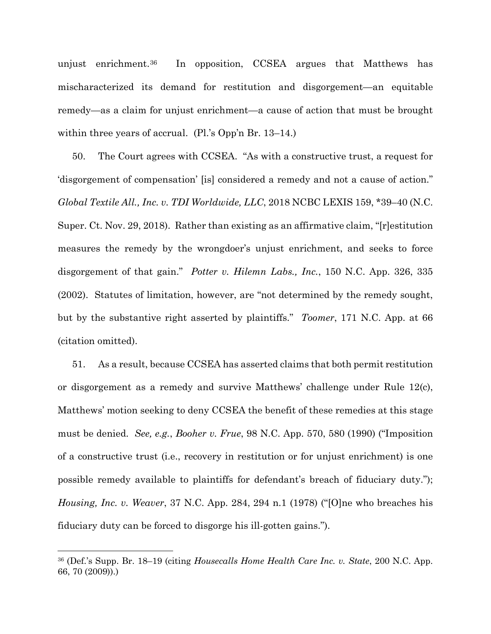unjust enrichment.[36](#page-23-0) In opposition, CCSEA argues that Matthews has mischaracterized its demand for restitution and disgorgement—an equitable remedy—as a claim for unjust enrichment—a cause of action that must be brought within three years of accrual. (Pl.'s Opp'n Br. 13–14.)

50. The Court agrees with CCSEA. "As with a constructive trust, a request for 'disgorgement of compensation' [is] considered a remedy and not a cause of action." *Global Textile All., Inc. v. TDI Worldwide, LLC*, 2018 NCBC LEXIS 159, \*39–40 (N.C. Super. Ct. Nov. 29, 2018). Rather than existing as an affirmative claim, "[r]estitution measures the remedy by the wrongdoer's unjust enrichment, and seeks to force disgorgement of that gain." *Potter v. Hilemn Labs., Inc.*, 150 N.C. App. 326, 335 (2002). Statutes of limitation, however, are "not determined by the remedy sought, but by the substantive right asserted by plaintiffs." *Toomer*, 171 N.C. App. at 66 (citation omitted).

51. As a result, because CCSEA has asserted claims that both permit restitution or disgorgement as a remedy and survive Matthews' challenge under Rule 12(c), Matthews' motion seeking to deny CCSEA the benefit of these remedies at this stage must be denied. *See, e.g.*, *Booher v. Frue*, 98 N.C. App. 570, 580 (1990) ("Imposition of a constructive trust (i.e., recovery in restitution or for unjust enrichment) is one possible remedy available to plaintiffs for defendant's breach of fiduciary duty."); *Housing, Inc. v. Weaver*, 37 N.C. App. 284, 294 n.1 (1978) ("[O]ne who breaches his fiduciary duty can be forced to disgorge his ill-gotten gains.").

<span id="page-23-0"></span><sup>36</sup> (Def.'s Supp. Br. 18–19 (citing *Housecalls Home Health Care Inc. v. State*, 200 N.C. App. 66, 70 (2009)).)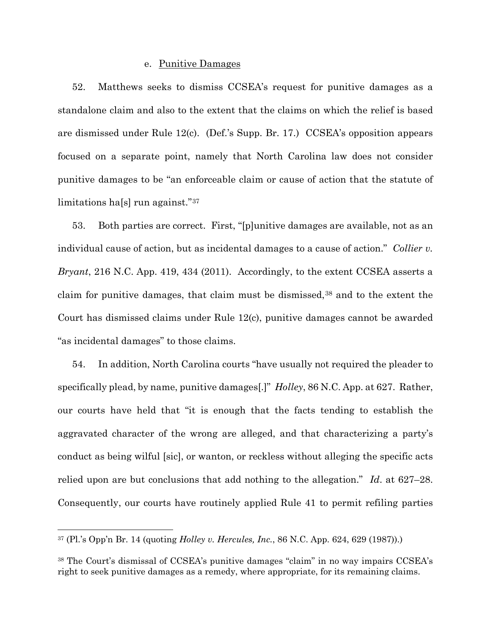### e. Punitive Damages

52. Matthews seeks to dismiss CCSEA's request for punitive damages as a standalone claim and also to the extent that the claims on which the relief is based are dismissed under Rule 12(c). (Def.'s Supp. Br. 17.) CCSEA's opposition appears focused on a separate point, namely that North Carolina law does not consider punitive damages to be "an enforceable claim or cause of action that the statute of limitations ha[s] run against."[37](#page-24-0) 

53. Both parties are correct. First, "[p]unitive damages are available, not as an individual cause of action, but as incidental damages to a cause of action." *Collier v. Bryant*, 216 N.C. App. 419, 434 (2011). Accordingly, to the extent CCSEA asserts a claim for punitive damages, that claim must be dismissed,<sup>[38](#page-24-1)</sup> and to the extent the Court has dismissed claims under Rule 12(c), punitive damages cannot be awarded "as incidental damages" to those claims.

54. In addition, North Carolina courts "have usually not required the pleader to specifically plead, by name, punitive damages[.]" *Holley*, 86 N.C. App. at 627. Rather, our courts have held that "it is enough that the facts tending to establish the aggravated character of the wrong are alleged, and that characterizing a party's conduct as being wilful [sic], or wanton, or reckless without alleging the specific acts relied upon are but conclusions that add nothing to the allegation." *Id*. at 627–28. Consequently, our courts have routinely applied Rule 41 to permit refiling parties

<span id="page-24-0"></span><sup>37</sup> (Pl.'s Opp'n Br. 14 (quoting *Holley v. Hercules, Inc.*, 86 N.C. App. 624, 629 (1987)).)

<span id="page-24-1"></span><sup>38</sup> The Court's dismissal of CCSEA's punitive damages "claim" in no way impairs CCSEA's right to seek punitive damages as a remedy, where appropriate, for its remaining claims.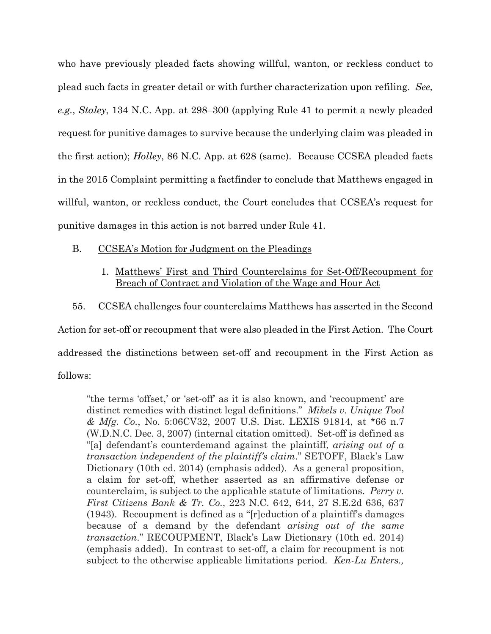who have previously pleaded facts showing willful, wanton, or reckless conduct to plead such facts in greater detail or with further characterization upon refiling. *See, e.g.*, *Staley*, 134 N.C. App. at 298–300 (applying Rule 41 to permit a newly pleaded request for punitive damages to survive because the underlying claim was pleaded in the first action); *Holley*, 86 N.C. App. at 628 (same). Because CCSEA pleaded facts in the 2015 Complaint permitting a factfinder to conclude that Matthews engaged in willful, wanton, or reckless conduct, the Court concludes that CCSEA's request for punitive damages in this action is not barred under Rule 41.

- B. CCSEA's Motion for Judgment on the Pleadings
	- 1. Matthews' First and Third Counterclaims for Set-Off/Recoupment for Breach of Contract and Violation of the Wage and Hour Act
- 55. CCSEA challenges four counterclaims Matthews has asserted in the Second

Action for set-off or recoupment that were also pleaded in the First Action. The Court addressed the distinctions between set-off and recoupment in the First Action as follows:

"the terms 'offset,' or 'set-off' as it is also known, and 'recoupment' are distinct remedies with distinct legal definitions." *Mikels v. Unique Tool & Mfg. Co.*, No. 5:06CV32, 2007 U.S. Dist. LEXIS 91814, at \*66 n.7 (W.D.N.C. Dec. 3, 2007) (internal citation omitted). Set-off is defined as "[a] defendant's counterdemand against the plaintiff, *arising out of a transaction independent of the plaintiff's claim*." SETOFF, Black's Law Dictionary (10th ed. 2014) (emphasis added). As a general proposition, a claim for set-off, whether asserted as an affirmative defense or counterclaim, is subject to the applicable statute of limitations. *Perry v. First Citizens Bank & Tr. Co.*, 223 N.C. 642, 644, 27 S.E.2d 636, 637 (1943). Recoupment is defined as a "[r]eduction of a plaintiff's damages because of a demand by the defendant *arising out of the same transaction*." RECOUPMENT, Black's Law Dictionary (10th ed. 2014) (emphasis added). In contrast to set-off, a claim for recoupment is not subject to the otherwise applicable limitations period. *Ken-Lu Enters.,*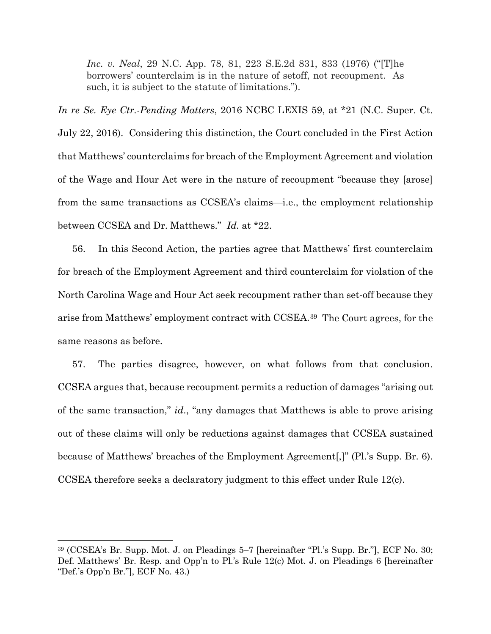*Inc. v. Neal*, 29 N.C. App. 78, 81, 223 S.E.2d 831, 833 (1976) ("[T]he borrowers' counterclaim is in the nature of setoff, not recoupment. As such, it is subject to the statute of limitations.").

*In re Se. Eye Ctr.-Pending Matters*, 2016 NCBC LEXIS 59, at \*21 (N.C. Super. Ct. July 22, 2016). Considering this distinction, the Court concluded in the First Action that Matthews' counterclaims for breach of the Employment Agreement and violation of the Wage and Hour Act were in the nature of recoupment "because they [arose] from the same transactions as CCSEA's claims—i.e., the employment relationship between CCSEA and Dr. Matthews." *Id.* at \*22.

56. In this Second Action, the parties agree that Matthews' first counterclaim for breach of the Employment Agreement and third counterclaim for violation of the North Carolina Wage and Hour Act seek recoupment rather than set-off because they arise from Matthews' employment contract with CCSEA.[39](#page-26-0) The Court agrees, for the same reasons as before.

57. The parties disagree, however, on what follows from that conclusion. CCSEA argues that, because recoupment permits a reduction of damages "arising out of the same transaction," *id*., "any damages that Matthews is able to prove arising out of these claims will only be reductions against damages that CCSEA sustained because of Matthews' breaches of the Employment Agreement[,]" (Pl.'s Supp. Br. 6). CCSEA therefore seeks a declaratory judgment to this effect under Rule 12(c).

<span id="page-26-0"></span><sup>39</sup> (CCSEA's Br. Supp. Mot. J. on Pleadings 5–7 [hereinafter "Pl.'s Supp. Br."], ECF No. 30; Def. Matthews' Br. Resp. and Opp'n to Pl.'s Rule 12(c) Mot. J. on Pleadings 6 [hereinafter "Def.'s Opp'n Br."], ECF No. 43.)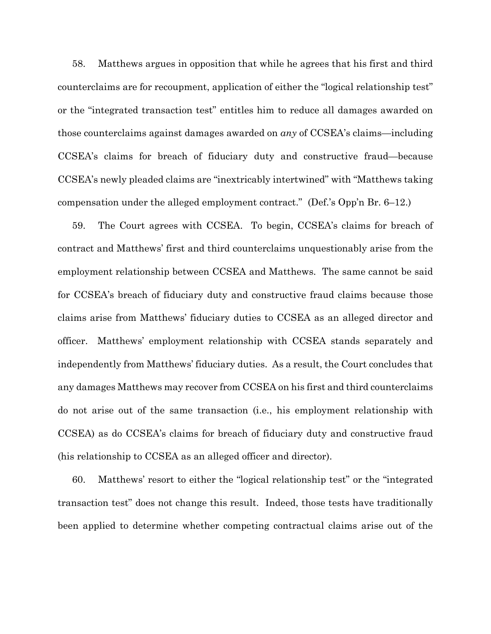58. Matthews argues in opposition that while he agrees that his first and third counterclaims are for recoupment, application of either the "logical relationship test" or the "integrated transaction test" entitles him to reduce all damages awarded on those counterclaims against damages awarded on *any* of CCSEA's claims—including CCSEA's claims for breach of fiduciary duty and constructive fraud—because CCSEA's newly pleaded claims are "inextricably intertwined" with "Matthews taking compensation under the alleged employment contract." (Def.'s Opp'n Br. 6–12.)

59. The Court agrees with CCSEA. To begin, CCSEA's claims for breach of contract and Matthews' first and third counterclaims unquestionably arise from the employment relationship between CCSEA and Matthews. The same cannot be said for CCSEA's breach of fiduciary duty and constructive fraud claims because those claims arise from Matthews' fiduciary duties to CCSEA as an alleged director and officer. Matthews' employment relationship with CCSEA stands separately and independently from Matthews' fiduciary duties. As a result, the Court concludes that any damages Matthews may recover from CCSEA on his first and third counterclaims do not arise out of the same transaction (i.e., his employment relationship with CCSEA) as do CCSEA's claims for breach of fiduciary duty and constructive fraud (his relationship to CCSEA as an alleged officer and director).

60. Matthews' resort to either the "logical relationship test" or the "integrated transaction test" does not change this result. Indeed, those tests have traditionally been applied to determine whether competing contractual claims arise out of the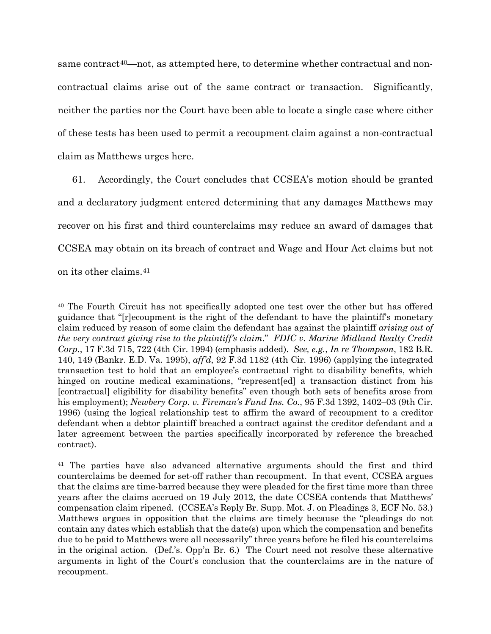same contract[40—](#page-28-0)not, as attempted here, to determine whether contractual and noncontractual claims arise out of the same contract or transaction. Significantly, neither the parties nor the Court have been able to locate a single case where either of these tests has been used to permit a recoupment claim against a non-contractual claim as Matthews urges here.

61. Accordingly, the Court concludes that CCSEA's motion should be granted and a declaratory judgment entered determining that any damages Matthews may recover on his first and third counterclaims may reduce an award of damages that CCSEA may obtain on its breach of contract and Wage and Hour Act claims but not on its other claims.[41](#page-28-1)

<span id="page-28-0"></span><sup>40</sup> The Fourth Circuit has not specifically adopted one test over the other but has offered guidance that "[r]ecoupment is the right of the defendant to have the plaintiff's monetary claim reduced by reason of some claim the defendant has against the plaintiff *arising out of the very contract giving rise to the plaintiff's claim*." *FDIC v. Marine Midland Realty Credit Corp.*, 17 F.3d 715, 722 (4th Cir. 1994) (emphasis added). *See, e.g.*, *In re Thompson*, 182 B.R. 140, 149 (Bankr. E.D. Va. 1995), *aff'd*, 92 F.3d 1182 (4th Cir. 1996) (applying the integrated transaction test to hold that an employee's contractual right to disability benefits, which hinged on routine medical examinations, "represent [ed] a transaction distinct from his [contractual] eligibility for disability benefits" even though both sets of benefits arose from his employment); *Newbery Corp. v. Fireman's Fund Ins. Co.*, 95 F.3d 1392, 1402–03 (9th Cir. 1996) (using the logical relationship test to affirm the award of recoupment to a creditor defendant when a debtor plaintiff breached a contract against the creditor defendant and a later agreement between the parties specifically incorporated by reference the breached contract).

<span id="page-28-1"></span><sup>41</sup> The parties have also advanced alternative arguments should the first and third counterclaims be deemed for set-off rather than recoupment. In that event, CCSEA argues that the claims are time-barred because they were pleaded for the first time more than three years after the claims accrued on 19 July 2012, the date CCSEA contends that Matthews' compensation claim ripened. (CCSEA's Reply Br. Supp. Mot. J. on Pleadings 3, ECF No. 53.) Matthews argues in opposition that the claims are timely because the "pleadings do not contain any dates which establish that the date(s) upon which the compensation and benefits due to be paid to Matthews were all necessarily" three years before he filed his counterclaims in the original action. (Def.'s. Opp'n Br. 6.) The Court need not resolve these alternative arguments in light of the Court's conclusion that the counterclaims are in the nature of recoupment.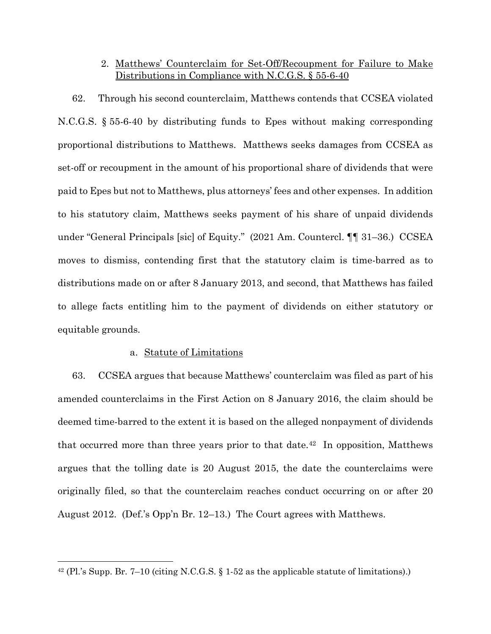# 2. Matthews' Counterclaim for Set-Off/Recoupment for Failure to Make Distributions in Compliance with N.C.G.S. § 55-6-40

62. Through his second counterclaim, Matthews contends that CCSEA violated N.C.G.S. § 55-6-40 by distributing funds to Epes without making corresponding proportional distributions to Matthews. Matthews seeks damages from CCSEA as set-off or recoupment in the amount of his proportional share of dividends that were paid to Epes but not to Matthews, plus attorneys' fees and other expenses. In addition to his statutory claim, Matthews seeks payment of his share of unpaid dividends under "General Principals [sic] of Equity." (2021 Am. Countercl. ¶¶ 31–36.) CCSEA moves to dismiss, contending first that the statutory claim is time-barred as to distributions made on or after 8 January 2013, and second, that Matthews has failed to allege facts entitling him to the payment of dividends on either statutory or equitable grounds.

### a. Statute of Limitations

63. CCSEA argues that because Matthews' counterclaim was filed as part of his amended counterclaims in the First Action on 8 January 2016, the claim should be deemed time-barred to the extent it is based on the alleged nonpayment of dividends that occurred more than three years prior to that date.<sup>[42](#page-29-0)</sup> In opposition, Matthews argues that the tolling date is 20 August 2015, the date the counterclaims were originally filed, so that the counterclaim reaches conduct occurring on or after 20 August 2012. (Def.'s Opp'n Br. 12–13.) The Court agrees with Matthews.

<span id="page-29-0"></span><sup>&</sup>lt;sup>42</sup> (Pl.'s Supp. Br. 7–10 (citing N.C.G.S. § 1-52 as the applicable statute of limitations).)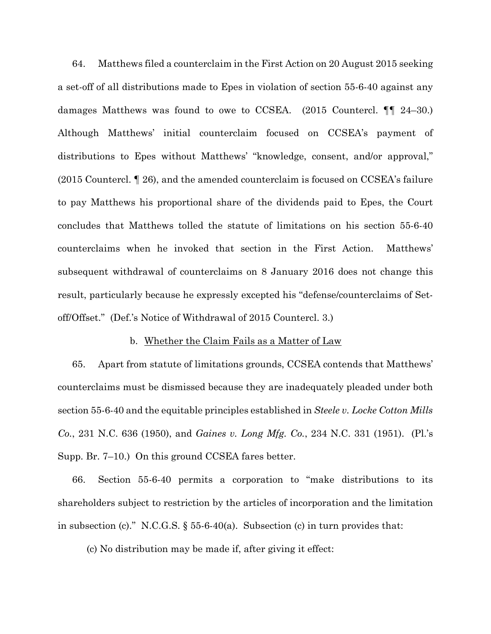64. Matthews filed a counterclaim in the First Action on 20 August 2015 seeking a set-off of all distributions made to Epes in violation of section 55-6-40 against any damages Matthews was found to owe to CCSEA. (2015 Countercl. ¶¶ 24–30.) Although Matthews' initial counterclaim focused on CCSEA's payment of distributions to Epes without Matthews' "knowledge, consent, and/or approval," (2015 Countercl. ¶ 26), and the amended counterclaim is focused on CCSEA's failure to pay Matthews his proportional share of the dividends paid to Epes, the Court concludes that Matthews tolled the statute of limitations on his section 55-6-40 counterclaims when he invoked that section in the First Action. Matthews' subsequent withdrawal of counterclaims on 8 January 2016 does not change this result, particularly because he expressly excepted his "defense/counterclaims of Setoff/Offset." (Def.'s Notice of Withdrawal of 2015 Countercl. 3.)

#### b. Whether the Claim Fails as a Matter of Law

65. Apart from statute of limitations grounds, CCSEA contends that Matthews' counterclaims must be dismissed because they are inadequately pleaded under both section 55-6-40 and the equitable principles established in *Steele v. Locke Cotton Mills Co.*, 231 N.C. 636 (1950), and *Gaines v. Long Mfg. Co.*, 234 N.C. 331 (1951). (Pl.'s Supp. Br. 7–10.) On this ground CCSEA fares better.

66. Section 55-6-40 permits a corporation to "make distributions to its shareholders subject to restriction by the articles of incorporation and the limitation in subsection (c)." N.C.G.S.  $\S$  55-6-40(a). Subsection (c) in turn provides that:

(c) No distribution may be made if, after giving it effect: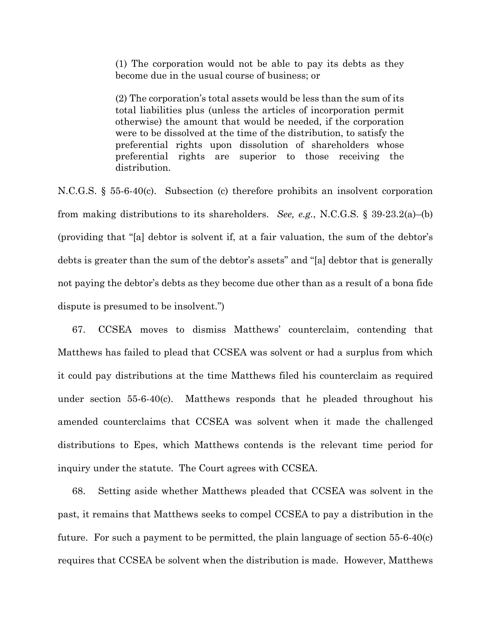(1) The corporation would not be able to pay its debts as they become due in the usual course of business; or

(2) The corporation's total assets would be less than the sum of its total liabilities plus (unless the articles of incorporation permit otherwise) the amount that would be needed, if the corporation were to be dissolved at the time of the distribution, to satisfy the preferential rights upon dissolution of shareholders whose preferential rights are superior to those receiving the distribution.

N.C.G.S. § 55-6-40(c). Subsection (c) therefore prohibits an insolvent corporation from making distributions to its shareholders. *See, e.g.*, N.C.G.S. § 39-23.2(a)–(b) (providing that "[a] debtor is solvent if, at a fair valuation, the sum of the debtor's debts is greater than the sum of the debtor's assets" and "[a] debtor that is generally not paying the debtor's debts as they become due other than as a result of a bona fide dispute is presumed to be insolvent.")

67. CCSEA moves to dismiss Matthews' counterclaim, contending that Matthews has failed to plead that CCSEA was solvent or had a surplus from which it could pay distributions at the time Matthews filed his counterclaim as required under section 55-6-40(c). Matthews responds that he pleaded throughout his amended counterclaims that CCSEA was solvent when it made the challenged distributions to Epes, which Matthews contends is the relevant time period for inquiry under the statute. The Court agrees with CCSEA.

68. Setting aside whether Matthews pleaded that CCSEA was solvent in the past, it remains that Matthews seeks to compel CCSEA to pay a distribution in the future. For such a payment to be permitted, the plain language of section 55-6-40(c) requires that CCSEA be solvent when the distribution is made. However, Matthews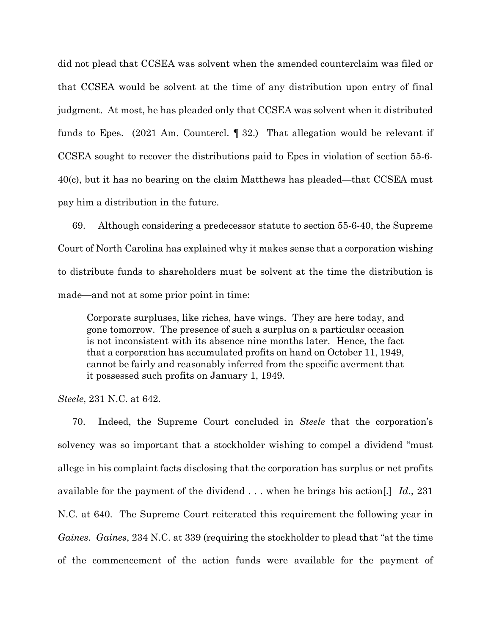did not plead that CCSEA was solvent when the amended counterclaim was filed or that CCSEA would be solvent at the time of any distribution upon entry of final judgment. At most, he has pleaded only that CCSEA was solvent when it distributed funds to Epes. (2021 Am. Countercl. ¶ 32.) That allegation would be relevant if CCSEA sought to recover the distributions paid to Epes in violation of section 55-6- 40(c), but it has no bearing on the claim Matthews has pleaded—that CCSEA must pay him a distribution in the future.

69. Although considering a predecessor statute to section 55-6-40, the Supreme Court of North Carolina has explained why it makes sense that a corporation wishing to distribute funds to shareholders must be solvent at the time the distribution is made—and not at some prior point in time:

Corporate surpluses, like riches, have wings. They are here today, and gone tomorrow. The presence of such a surplus on a particular occasion is not inconsistent with its absence nine months later. Hence, the fact that a corporation has accumulated profits on hand on October 11, 1949, cannot be fairly and reasonably inferred from the specific averment that it possessed such profits on January 1, 1949.

*Steele*, 231 N.C. at 642.

70. Indeed, the Supreme Court concluded in *Steele* that the corporation's solvency was so important that a stockholder wishing to compel a dividend "must allege in his complaint facts disclosing that the corporation has surplus or net profits available for the payment of the dividend . . . when he brings his action[.] *Id*., 231 N.C. at 640. The Supreme Court reiterated this requirement the following year in *Gaines*. *Gaines*, 234 N.C. at 339 (requiring the stockholder to plead that "at the time of the commencement of the action funds were available for the payment of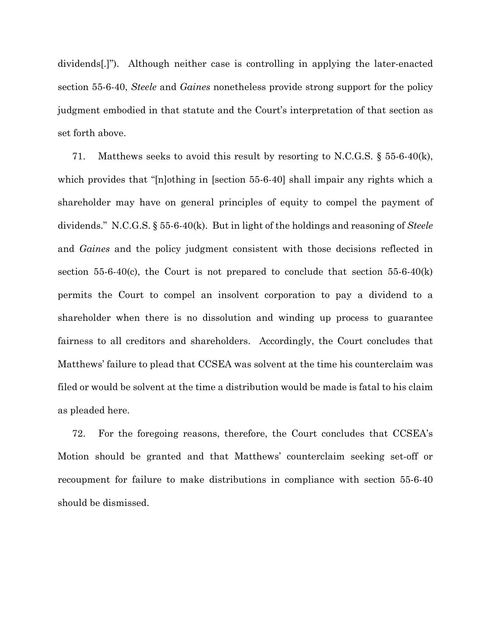dividends[.]"). Although neither case is controlling in applying the later-enacted section 55-6-40, *Steele* and *Gaines* nonetheless provide strong support for the policy judgment embodied in that statute and the Court's interpretation of that section as set forth above.

71. Matthews seeks to avoid this result by resorting to N.C.G.S.  $\S$  55-6-40(k), which provides that "[n]othing in [section 55-6-40] shall impair any rights which a shareholder may have on general principles of equity to compel the payment of dividends." N.C.G.S. § 55-6-40(k). But in light of the holdings and reasoning of *Steele* and *Gaines* and the policy judgment consistent with those decisions reflected in section 55-6-40(c), the Court is not prepared to conclude that section 55-6-40(k) permits the Court to compel an insolvent corporation to pay a dividend to a shareholder when there is no dissolution and winding up process to guarantee fairness to all creditors and shareholders. Accordingly, the Court concludes that Matthews' failure to plead that CCSEA was solvent at the time his counterclaim was filed or would be solvent at the time a distribution would be made is fatal to his claim as pleaded here.

72. For the foregoing reasons, therefore, the Court concludes that CCSEA's Motion should be granted and that Matthews' counterclaim seeking set-off or recoupment for failure to make distributions in compliance with section 55-6-40 should be dismissed.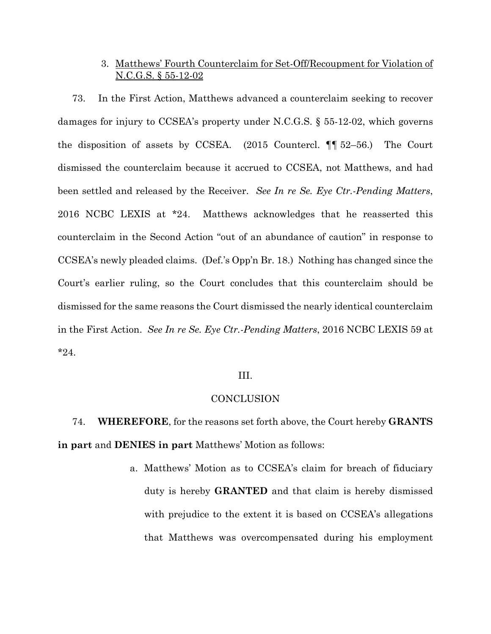## 3. Matthews' Fourth Counterclaim for Set-Off/Recoupment for Violation of N.C.G.S. § 55-12-02

73. In the First Action, Matthews advanced a counterclaim seeking to recover damages for injury to CCSEA's property under N.C.G.S. § 55-12-02, which governs the disposition of assets by CCSEA. (2015 Countercl. ¶¶ 52–56.) The Court dismissed the counterclaim because it accrued to CCSEA, not Matthews, and had been settled and released by the Receiver. *See In re Se. Eye Ctr.-Pending Matters*, 2016 NCBC LEXIS at \*24. Matthews acknowledges that he reasserted this counterclaim in the Second Action "out of an abundance of caution" in response to CCSEA's newly pleaded claims. (Def.'s Opp'n Br. 18.) Nothing has changed since the Court's earlier ruling, so the Court concludes that this counterclaim should be dismissed for the same reasons the Court dismissed the nearly identical counterclaim in the First Action. *See In re Se. Eye Ctr.-Pending Matters*, 2016 NCBC LEXIS 59 at \*24.

### III.

### CONCLUSION

74. **WHEREFORE**, for the reasons set forth above, the Court hereby **GRANTS in part** and **DENIES in part** Matthews' Motion as follows:

> a. Matthews' Motion as to CCSEA's claim for breach of fiduciary duty is hereby **GRANTED** and that claim is hereby dismissed with prejudice to the extent it is based on CCSEA's allegations that Matthews was overcompensated during his employment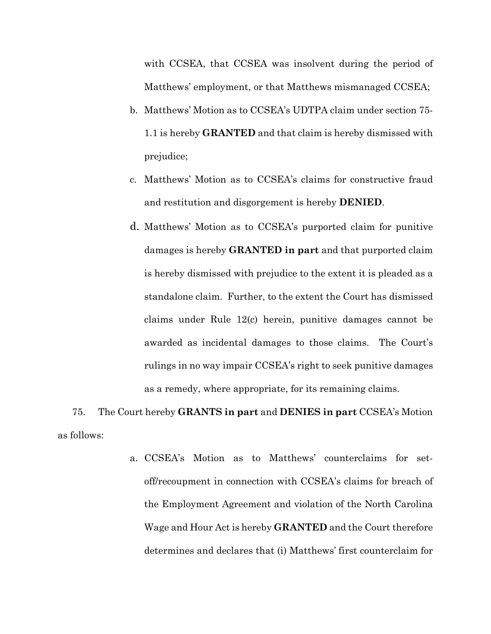with CCSEA, that CCSEA was insolvent during the period of Matthews' employment, or that Matthews mismanaged CCSEA;

- b. Matthews' Motion as to CCSEA's UDTPA claim under section 75- 1.1 is hereby **GRANTED** and that claim is hereby dismissed with prejudice;
- c. Matthews' Motion as to CCSEA's claims for constructive fraud and restitution and disgorgement is hereby **DENIED**.
- d. Matthews' Motion as to CCSEA's purported claim for punitive damages is hereby **GRANTED in part** and that purported claim is hereby dismissed with prejudice to the extent it is pleaded as a standalone claim. Further, to the extent the Court has dismissed claims under Rule 12(c) herein, punitive damages cannot be awarded as incidental damages to those claims. The Court's rulings in no way impair CCSEA's right to seek punitive damages as a remedy, where appropriate, for its remaining claims.

75. The Court hereby **GRANTS in part** and **DENIES in part** CCSEA's Motion as follows:

> a. CCSEA's Motion as to Matthews' counterclaims for setoff/recoupment in connection with CCSEA's claims for breach of the Employment Agreement and violation of the North Carolina Wage and Hour Act is hereby **GRANTED** and the Court therefore determines and declares that (i) Matthews' first counterclaim for